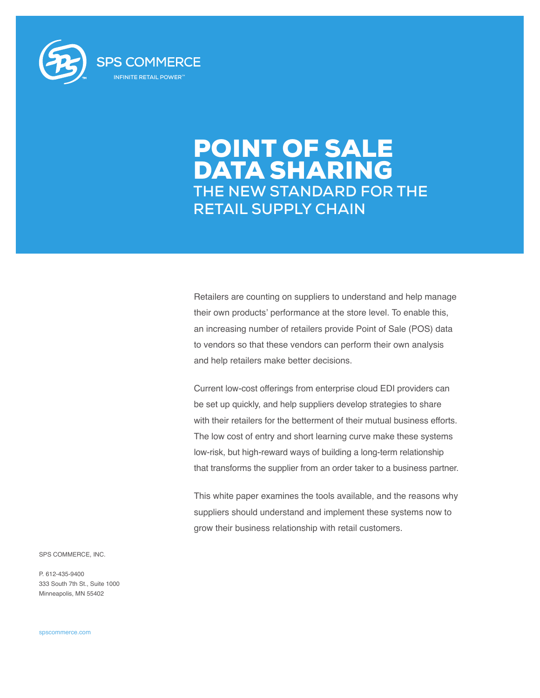

# POINT OF SALE DATA SHARING **THE NEW STANDARD FOR THE RETAIL SUPPLY CHAIN**

Retailers are counting on suppliers to understand and help manage their own products' performance at the store level. To enable this, an increasing number of retailers provide Point of Sale (POS) data to vendors so that these vendors can perform their own analysis and help retailers make better decisions.

Current low-cost offerings from enterprise cloud EDI providers can be set up quickly, and help suppliers develop strategies to share with their retailers for the betterment of their mutual business efforts. The low cost of entry and short learning curve make these systems low-risk, but high-reward ways of building a long-term relationship that transforms the supplier from an order taker to a business partner.

This white paper examines the tools available, and the reasons why suppliers should understand and implement these systems now to grow their business relationship with retail customers.

SPS COMMERCE, INC.

P. 612-435-9400 333 South 7th St., Suite 1000 Minneapolis, MN 55402

spscommerce.com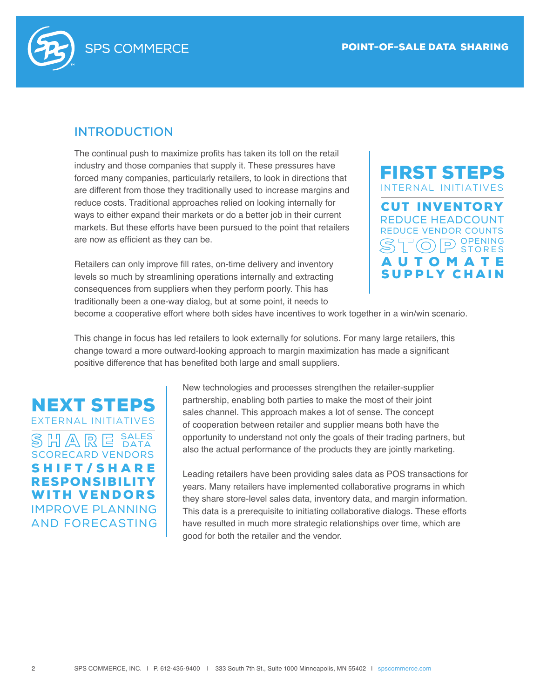

### **INTRODUCTION**

The continual push to maximize profits has taken its toll on the retail industry and those companies that supply it. These pressures have forced many companies, particularly retailers, to look in directions that are different from those they traditionally used to increase margins and reduce costs. Traditional approaches relied on looking internally for ways to either expand their markets or do a better job in their current markets. But these efforts have been pursued to the point that retailers are now as efficient as they can be.

Retailers can only improve fill rates, on-time delivery and inventory levels so much by streamlining operations internally and extracting consequences from suppliers when they perform poorly. This has traditionally been a one-way dialog, but at some point, it needs to



become a cooperative effort where both sides have incentives to work together in a win/win scenario.

This change in focus has led retailers to look externally for solutions. For many large retailers, this change toward a more outward-looking approach to margin maximization has made a significant positive difference that has benefited both large and small suppliers.

NEXT STEPS EXTERNAL INITIATIVES IMPROVE PLANNING AND FORECASTING SCORECARD VENDORS SHIFT/SHARE RESPONSIBILITY WITH VENDORS SALES DATA

New technologies and processes strengthen the retailer-supplier partnership, enabling both parties to make the most of their joint sales channel. This approach makes a lot of sense. The concept of cooperation between retailer and supplier means both have the opportunity to understand not only the goals of their trading partners, but also the actual performance of the products they are jointly marketing.

Leading retailers have been providing sales data as POS transactions for years. Many retailers have implemented collaborative programs in which they share store-level sales data, inventory data, and margin information. This data is a prerequisite to initiating collaborative dialogs. These efforts have resulted in much more strategic relationships over time, which are good for both the retailer and the vendor.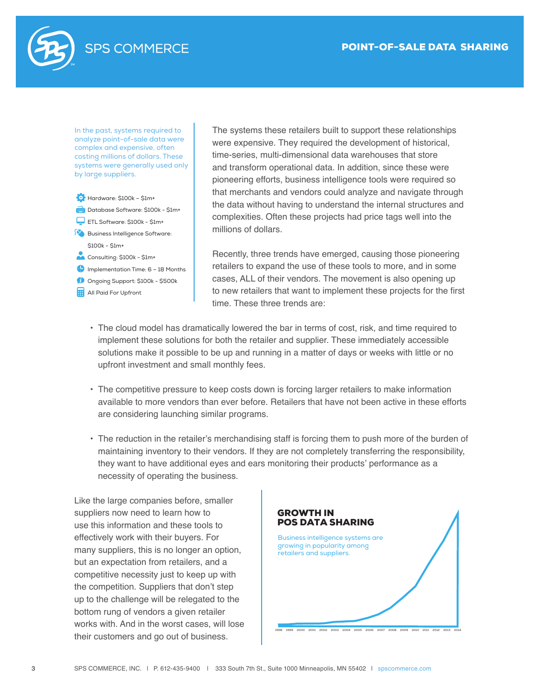

In the past, systems required to analyze point-of-sale data were complex and expensive, often costing millions of dollars. These systems were generally used only by large suppliers.



The systems these retailers built to support these relationships were expensive. They required the development of historical, time-series, multi-dimensional data warehouses that store and transform operational data. In addition, since these were pioneering efforts, business intelligence tools were required so that merchants and vendors could analyze and navigate through the data without having to understand the internal structures and complexities. Often these projects had price tags well into the millions of dollars. Low t dollars.

Recently, three trends have emerged, causing those pioneering retailers to expand the use of these tools to more, and in some cases, ALL of their vendors. The movement is also opening up to new retailers that want to implement these projects for the first time. These three trends are:

- The cloud model has dramatically lowered the bar in terms of cost, risk, and time required to implement these solutions for both the retailer and supplier. These immediately accessible solutions make it possible to be up and running in a matter of days or weeks with little or no upfront investment and small monthly fees.
- The competitive pressure to keep costs down is forcing larger retailers to make information available to more vendors than ever before. Retailers that have not been active in these efforts are considering launching similar programs.
- The reduction in the retailer's merchandising staff is forcing them to push more of the burden of maintaining inventory to their vendors. If they are not completely transferring the responsibility, they want to have additional eyes and ears monitoring their products' performance as a necessity of operating the business.

Like the large companies before, smaller suppliers now need to learn how to use this information and these tools to effectively work with their buyers. For many suppliers, this is no longer an option, but an expectation from retailers, and a competitive necessity just to keep up with the competition. Suppliers that don't step up to the challenge will be relegated to the bottom rung of vendors a given retailer works with. And in the worst cases, will lose their customers and go out of business.

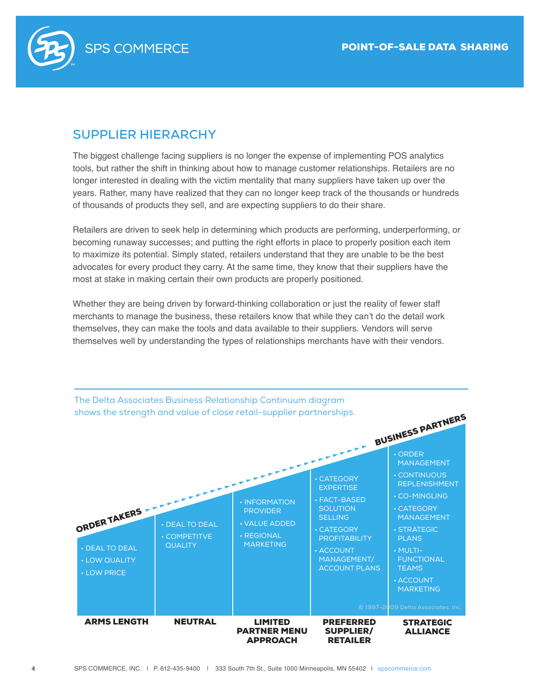

# **SUPPLIER HIERARCHY**

The biggest challenge facing suppliers is no longer the expense of implementing POS analytics tools, but rather the shift in thinking about how to manage customer relationships. Retailers are no longer interested in dealing with the victim mentality that many suppliers have taken up over the years. Rather, many have realized that they can no longer keep track of the thousands or hundreds of thousands of products they sell, and are expecting suppliers to do their share.

Retailers are driven to seek help in determining which products are performing, underperforming, or becoming runaway successes; and putting the right efforts in place to properly position each item to maximize its potential. Simply stated, retailers understand that they are unable to be the best advocates for every product they carry. At the same time, they know that their suppliers have the most at stake in making certain their own products are properly positioned.

Whether they are being driven by forward-thinking collaboration or just the reality of fewer staff merchants to manage the business, these retailers know that while they can't do the detail work themselves, they can make the tools and data available to their suppliers. Vendors will serve themselves well by understanding the types of relationships merchants have with their vendors.

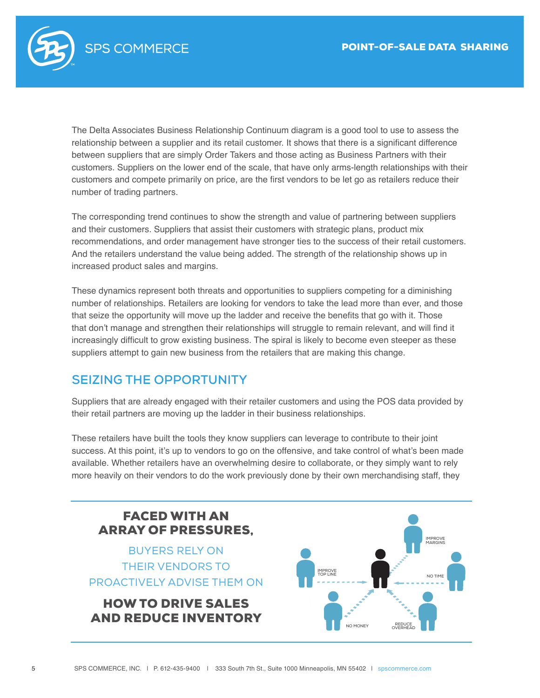

The Delta Associates Business Relationship Continuum diagram is a good tool to use to assess the relationship between a supplier and its retail customer. It shows that there is a significant difference between suppliers that are simply Order Takers and those acting as Business Partners with their customers. Suppliers on the lower end of the scale, that have only arms-length relationships with their customers and compete primarily on price, are the first vendors to be let go as retailers reduce their number of trading partners.

The corresponding trend continues to show the strength and value of partnering between suppliers and their customers. Suppliers that assist their customers with strategic plans, product mix recommendations, and order management have stronger ties to the success of their retail customers. And the retailers understand the value being added. The strength of the relationship shows up in increased product sales and margins.

These dynamics represent both threats and opportunities to suppliers competing for a diminishing number of relationships. Retailers are looking for vendors to take the lead more than ever, and those that seize the opportunity will move up the ladder and receive the benefits that go with it. Those that don't manage and strengthen their relationships will struggle to remain relevant, and will find it increasingly difficult to grow existing business. The spiral is likely to become even steeper as these suppliers attempt to gain new business from the retailers that are making this change.

### **SEIZING THE OPPORTUNITY**

Suppliers that are already engaged with their retailer customers and using the POS data provided by their retail partners are moving up the ladder in their business relationships.

These retailers have built the tools they know suppliers can leverage to contribute to their joint success. At this point, it's up to vendors to go on the offensive, and take control of what's been made available. Whether retailers have an overwhelming desire to collaborate, or they simply want to rely more heavily on their vendors to do the work previously done by their own merchandising staff, they

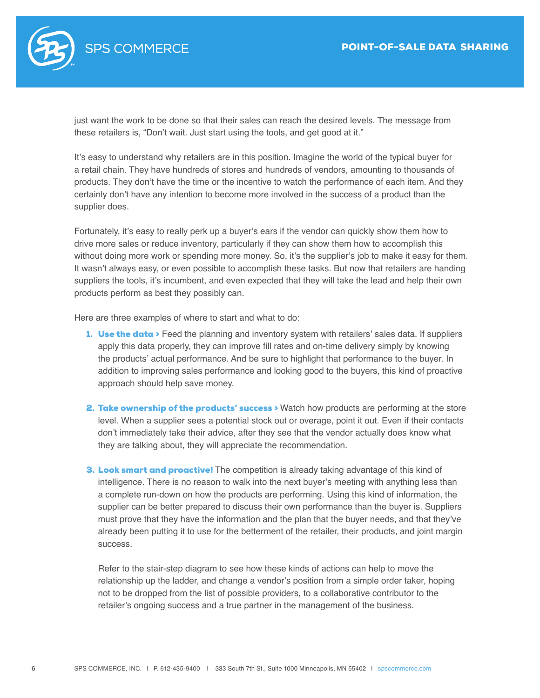

just want the work to be done so that their sales can reach the desired levels. The message from these retailers is, "Don't wait. Just start using the tools, and get good at it."

It's easy to understand why retailers are in this position. Imagine the world of the typical buyer for a retail chain. They have hundreds of stores and hundreds of vendors, amounting to thousands of products. They don't have the time or the incentive to watch the performance of each item. And they certainly don't have any intention to become more involved in the success of a product than the supplier does.

Fortunately, it's easy to really perk up a buyer's ears if the vendor can quickly show them how to drive more sales or reduce inventory, particularly if they can show them how to accomplish this without doing more work or spending more money. So, it's the supplier's job to make it easy for them. It wasn't always easy, or even possible to accomplish these tasks. But now that retailers are handing suppliers the tools, it's incumbent, and even expected that they will take the lead and help their own products perform as best they possibly can.

Here are three examples of where to start and what to do:

- 1. Use the data > Feed the planning and inventory system with retailers' sales data. If suppliers apply this data properly, they can improve fill rates and on-time delivery simply by knowing the products' actual performance. And be sure to highlight that performance to the buyer. In addition to improving sales performance and looking good to the buyers, this kind of proactive approach should help save money.
- 2. Take ownership of the products' success > Watch how products are performing at the store level. When a supplier sees a potential stock out or overage, point it out. Even if their contacts don't immediately take their advice, after they see that the vendor actually does know what they are talking about, they will appreciate the recommendation.
- 3. Look smart and proactive! The competition is already taking advantage of this kind of intelligence. There is no reason to walk into the next buyer's meeting with anything less than a complete run-down on how the products are performing. Using this kind of information, the supplier can be better prepared to discuss their own performance than the buyer is. Suppliers must prove that they have the information and the plan that the buyer needs, and that they've already been putting it to use for the betterment of the retailer, their products, and joint margin success.

Refer to the stair-step diagram to see how these kinds of actions can help to move the relationship up the ladder, and change a vendor's position from a simple order taker, hoping not to be dropped from the list of possible providers, to a collaborative contributor to the retailer's ongoing success and a true partner in the management of the business.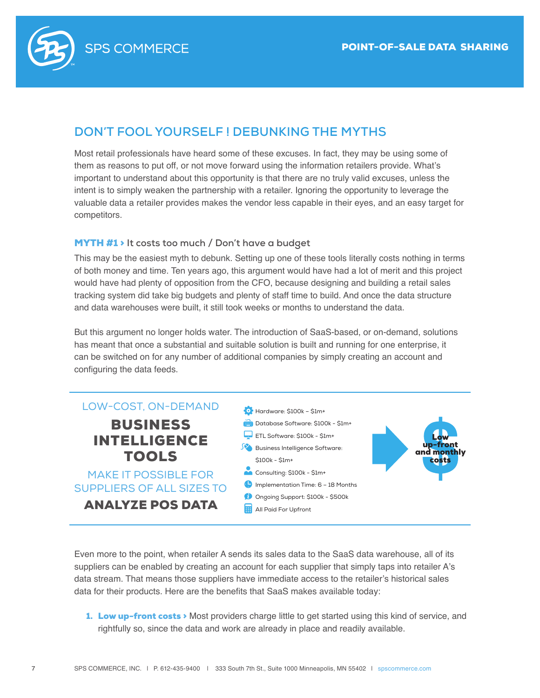

### **DON'T FOOL YOURSELF ! DEBUNKING THE MYTHS**

Most retail professionals have heard some of these excuses. In fact, they may be using some of them as reasons to put off, or not move forward using the information retailers provide. What's important to understand about this opportunity is that there are no truly valid excuses, unless the intent is to simply weaken the partnership with a retailer. Ignoring the opportunity to leverage the valuable data a retailer provides makes the vendor less capable in their eyes, and an easy target for competitors.

### MYTH #1 > **It costs too much / Don't have a budget**

This may be the easiest myth to debunk. Setting up one of these tools literally costs nothing in terms of both money and time. Ten years ago, this argument would have had a lot of merit and this project would have had plenty of opposition from the CFO, because designing and building a retail sales tracking system did take big budgets and plenty of staff time to build. And once the data structure and data warehouses were built, it still took weeks or months to understand the data.

But this argument no longer holds water. The introduction of SaaS-based, or on-demand, solutions has meant that once a substantial and suitable solution is built and running for one enterprise, it can be switched on for any number of additional companies by simply creating an account and configuring the data feeds.



Even more to the point, when retailer A sends its sales data to the SaaS data warehouse, all of its suppliers can be enabled by creating an account for each supplier that simply taps into retailer A's data stream. That means those suppliers have immediate access to the retailer's historical sales data for their products. Here are the benefits that SaaS makes available today:

1. Low up-front costs > Most providers charge little to get started using this kind of service, and rightfully so, since the data and work are already in place and readily available.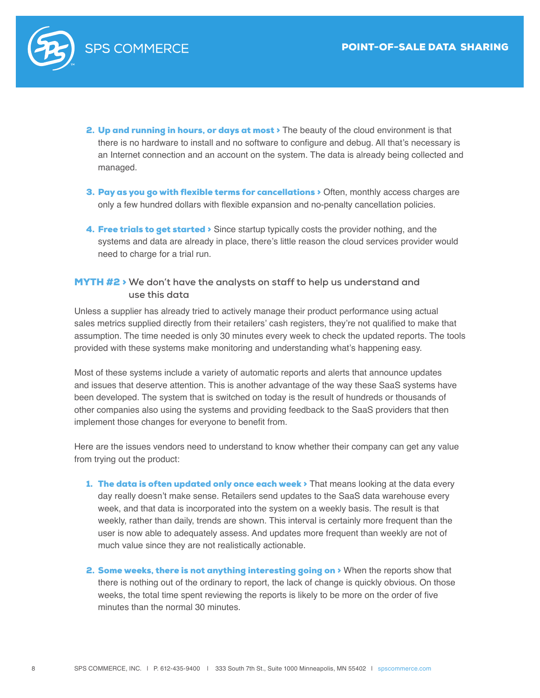

- 2. Up and running in hours, or days at most > The beauty of the cloud environment is that there is no hardware to install and no software to configure and debug. All that's necessary is an Internet connection and an account on the system. The data is already being collected and managed.
- 3. Pay as you go with flexible terms for cancellations > Often, monthly access charges are only a few hundred dollars with flexible expansion and no-penalty cancellation policies.
- 4. Free trials to get started > Since startup typically costs the provider nothing, and the systems and data are already in place, there's little reason the cloud services provider would need to charge for a trial run.

### MYTH #2 > **We don't have the analysts on staff to help us understand and use this data**

Unless a supplier has already tried to actively manage their product performance using actual sales metrics supplied directly from their retailers' cash registers, they're not qualified to make that assumption. The time needed is only 30 minutes every week to check the updated reports. The tools provided with these systems make monitoring and understanding what's happening easy.

Most of these systems include a variety of automatic reports and alerts that announce updates and issues that deserve attention. This is another advantage of the way these SaaS systems have been developed. The system that is switched on today is the result of hundreds or thousands of other companies also using the systems and providing feedback to the SaaS providers that then implement those changes for everyone to benefit from.

Here are the issues vendors need to understand to know whether their company can get any value from trying out the product:

- 1. The data is often updated only once each week > That means looking at the data every day really doesn't make sense. Retailers send updates to the SaaS data warehouse every week, and that data is incorporated into the system on a weekly basis. The result is that weekly, rather than daily, trends are shown. This interval is certainly more frequent than the user is now able to adequately assess. And updates more frequent than weekly are not of much value since they are not realistically actionable.
- 2. Some weeks, there is not anything interesting going on > When the reports show that there is nothing out of the ordinary to report, the lack of change is quickly obvious. On those weeks, the total time spent reviewing the reports is likely to be more on the order of five minutes than the normal 30 minutes.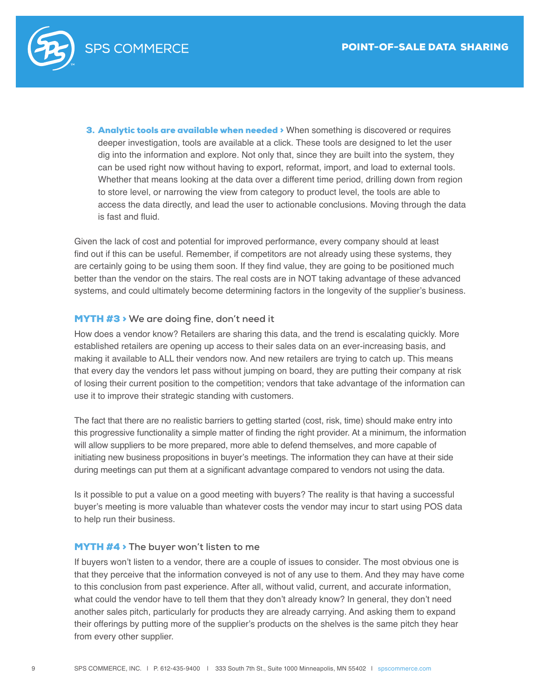

3. Analytic tools are available when needed > When something is discovered or requires deeper investigation, tools are available at a click. These tools are designed to let the user dig into the information and explore. Not only that, since they are built into the system, they can be used right now without having to export, reformat, import, and load to external tools. Whether that means looking at the data over a different time period, drilling down from region to store level, or narrowing the view from category to product level, the tools are able to access the data directly, and lead the user to actionable conclusions. Moving through the data is fast and fluid.

Given the lack of cost and potential for improved performance, every company should at least find out if this can be useful. Remember, if competitors are not already using these systems, they are certainly going to be using them soon. If they find value, they are going to be positioned much better than the vendor on the stairs. The real costs are in NOT taking advantage of these advanced systems, and could ultimately become determining factors in the longevity of the supplier's business.

#### MYTH #3 > **We are doing fine, don't need it**

How does a vendor know? Retailers are sharing this data, and the trend is escalating quickly. More established retailers are opening up access to their sales data on an ever-increasing basis, and making it available to ALL their vendors now. And new retailers are trying to catch up. This means that every day the vendors let pass without jumping on board, they are putting their company at risk of losing their current position to the competition; vendors that take advantage of the information can use it to improve their strategic standing with customers.

The fact that there are no realistic barriers to getting started (cost, risk, time) should make entry into this progressive functionality a simple matter of finding the right provider. At a minimum, the information will allow suppliers to be more prepared, more able to defend themselves, and more capable of initiating new business propositions in buyer's meetings. The information they can have at their side during meetings can put them at a significant advantage compared to vendors not using the data.

Is it possible to put a value on a good meeting with buyers? The reality is that having a successful buyer's meeting is more valuable than whatever costs the vendor may incur to start using POS data to help run their business.

#### MYTH #4 > **The buyer won't listen to me**

If buyers won't listen to a vendor, there are a couple of issues to consider. The most obvious one is that they perceive that the information conveyed is not of any use to them. And they may have come to this conclusion from past experience. After all, without valid, current, and accurate information, what could the vendor have to tell them that they don't already know? In general, they don't need another sales pitch, particularly for products they are already carrying. And asking them to expand their offerings by putting more of the supplier's products on the shelves is the same pitch they hear from every other supplier.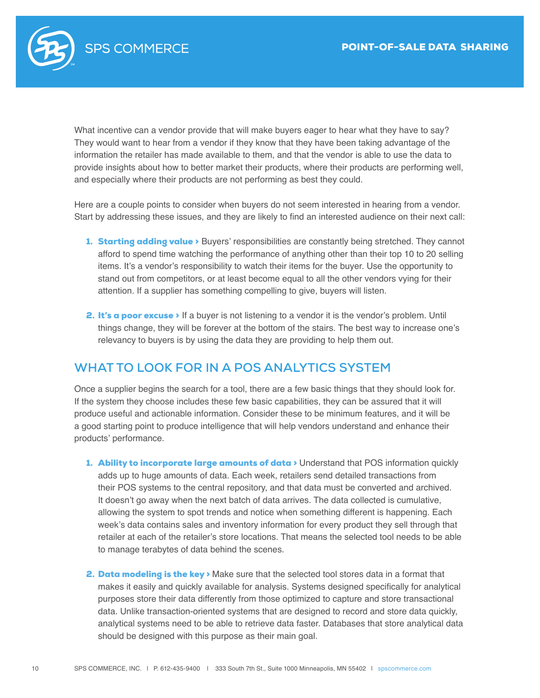

What incentive can a vendor provide that will make buyers eager to hear what they have to say? They would want to hear from a vendor if they know that they have been taking advantage of the information the retailer has made available to them, and that the vendor is able to use the data to provide insights about how to better market their products, where their products are performing well, and especially where their products are not performing as best they could.

Here are a couple points to consider when buyers do not seem interested in hearing from a vendor. Start by addressing these issues, and they are likely to find an interested audience on their next call:

- 1. **Starting adding value** > Buyers' responsibilities are constantly being stretched. They cannot afford to spend time watching the performance of anything other than their top 10 to 20 selling items. It's a vendor's responsibility to watch their items for the buyer. Use the opportunity to stand out from competitors, or at least become equal to all the other vendors vying for their attention. If a supplier has something compelling to give, buyers will listen.
- 2. It's a poor excuse > If a buyer is not listening to a vendor it is the vendor's problem. Until things change, they will be forever at the bottom of the stairs. The best way to increase one's relevancy to buyers is by using the data they are providing to help them out.

### **WHAT TO LOOK FOR IN A POS ANALYTICS SYSTEM**

Once a supplier begins the search for a tool, there are a few basic things that they should look for. If the system they choose includes these few basic capabilities, they can be assured that it will produce useful and actionable information. Consider these to be minimum features, and it will be a good starting point to produce intelligence that will help vendors understand and enhance their products' performance.

- 1. Ability to incorporate large amounts of data > Understand that POS information quickly adds up to huge amounts of data. Each week, retailers send detailed transactions from their POS systems to the central repository, and that data must be converted and archived. It doesn't go away when the next batch of data arrives. The data collected is cumulative, allowing the system to spot trends and notice when something different is happening. Each week's data contains sales and inventory information for every product they sell through that retailer at each of the retailer's store locations. That means the selected tool needs to be able to manage terabytes of data behind the scenes.
- **2. Data modeling is the key**  $\triangleright$  Make sure that the selected tool stores data in a format that makes it easily and quickly available for analysis. Systems designed specifically for analytical purposes store their data differently from those optimized to capture and store transactional data. Unlike transaction-oriented systems that are designed to record and store data quickly, analytical systems need to be able to retrieve data faster. Databases that store analytical data should be designed with this purpose as their main goal.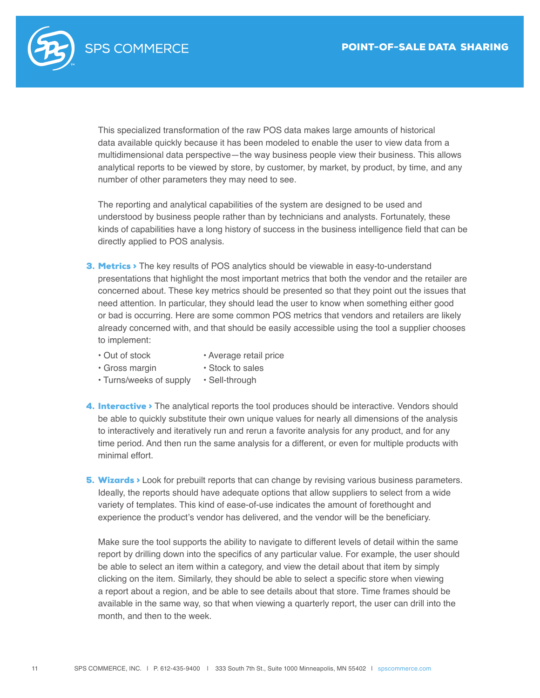

This specialized transformation of the raw POS data makes large amounts of historical data available quickly because it has been modeled to enable the user to view data from a multidimensional data perspective—the way business people view their business. This allows analytical reports to be viewed by store, by customer, by market, by product, by time, and any number of other parameters they may need to see.

The reporting and analytical capabilities of the system are designed to be used and understood by business people rather than by technicians and analysts. Fortunately, these kinds of capabilities have a long history of success in the business intelligence field that can be directly applied to POS analysis.

- 3. Metrics > The key results of POS analytics should be viewable in easy-to-understand presentations that highlight the most important metrics that both the vendor and the retailer are concerned about. These key metrics should be presented so that they point out the issues that need attention. In particular, they should lead the user to know when something either good or bad is occurring. Here are some common POS metrics that vendors and retailers are likely already concerned with, and that should be easily accessible using the tool a supplier chooses to implement:
	- Out of stock
		- Average retail price • Stock to sales
	- Gross margin
- 
- Turns/weeks of supply Sell-through
- 4. Interactive > The analytical reports the tool produces should be interactive. Vendors should be able to quickly substitute their own unique values for nearly all dimensions of the analysis to interactively and iteratively run and rerun a favorite analysis for any product, and for any time period. And then run the same analysis for a different, or even for multiple products with minimal effort.
- **5. Wizards** > Look for prebuilt reports that can change by revising various business parameters. Ideally, the reports should have adequate options that allow suppliers to select from a wide variety of templates. This kind of ease-of-use indicates the amount of forethought and experience the product's vendor has delivered, and the vendor will be the beneficiary.

Make sure the tool supports the ability to navigate to different levels of detail within the same report by drilling down into the specifics of any particular value. For example, the user should be able to select an item within a category, and view the detail about that item by simply clicking on the item. Similarly, they should be able to select a specific store when viewing a report about a region, and be able to see details about that store. Time frames should be available in the same way, so that when viewing a quarterly report, the user can drill into the month, and then to the week.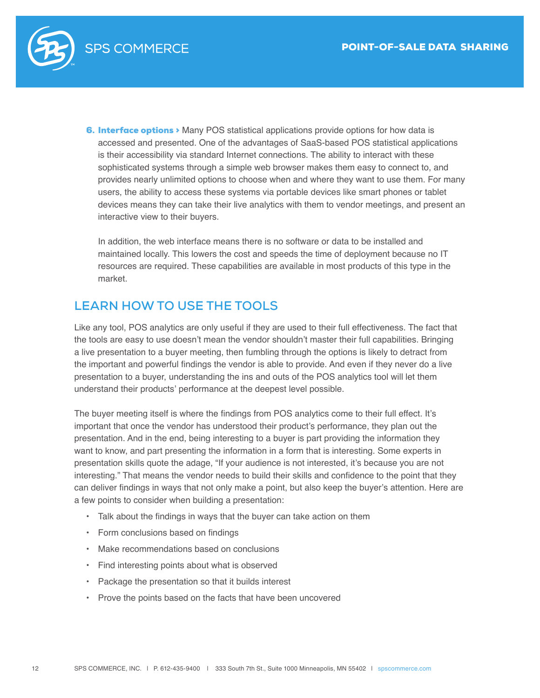

6. Interface options > Many POS statistical applications provide options for how data is accessed and presented. One of the advantages of SaaS-based POS statistical applications is their accessibility via standard Internet connections. The ability to interact with these sophisticated systems through a simple web browser makes them easy to connect to, and provides nearly unlimited options to choose when and where they want to use them. For many users, the ability to access these systems via portable devices like smart phones or tablet devices means they can take their live analytics with them to vendor meetings, and present an interactive view to their buyers.

In addition, the web interface means there is no software or data to be installed and maintained locally. This lowers the cost and speeds the time of deployment because no IT resources are required. These capabilities are available in most products of this type in the market.

### **LEARN HOW TO USE THE TOOLS**

Like any tool, POS analytics are only useful if they are used to their full effectiveness. The fact that the tools are easy to use doesn't mean the vendor shouldn't master their full capabilities. Bringing a live presentation to a buyer meeting, then fumbling through the options is likely to detract from the important and powerful findings the vendor is able to provide. And even if they never do a live presentation to a buyer, understanding the ins and outs of the POS analytics tool will let them understand their products' performance at the deepest level possible.

The buyer meeting itself is where the findings from POS analytics come to their full effect. It's important that once the vendor has understood their product's performance, they plan out the presentation. And in the end, being interesting to a buyer is part providing the information they want to know, and part presenting the information in a form that is interesting. Some experts in presentation skills quote the adage, "If your audience is not interested, it's because you are not interesting." That means the vendor needs to build their skills and confidence to the point that they can deliver findings in ways that not only make a point, but also keep the buyer's attention. Here are a few points to consider when building a presentation:

- Talk about the findings in ways that the buyer can take action on them
- Form conclusions based on findings
- Make recommendations based on conclusions
- Find interesting points about what is observed
- Package the presentation so that it builds interest
- Prove the points based on the facts that have been uncovered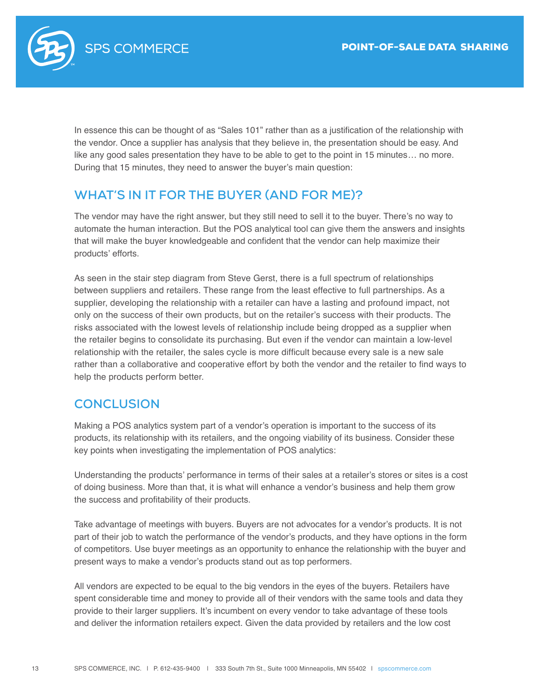

In essence this can be thought of as "Sales 101" rather than as a justification of the relationship with the vendor. Once a supplier has analysis that they believe in, the presentation should be easy. And like any good sales presentation they have to be able to get to the point in 15 minutes… no more. During that 15 minutes, they need to answer the buyer's main question:

### **WHAT'S IN IT FOR THE BUYER (AND FOR ME)?**

The vendor may have the right answer, but they still need to sell it to the buyer. There's no way to automate the human interaction. But the POS analytical tool can give them the answers and insights that will make the buyer knowledgeable and confident that the vendor can help maximize their products' efforts.

As seen in the stair step diagram from Steve Gerst, there is a full spectrum of relationships between suppliers and retailers. These range from the least effective to full partnerships. As a supplier, developing the relationship with a retailer can have a lasting and profound impact, not only on the success of their own products, but on the retailer's success with their products. The risks associated with the lowest levels of relationship include being dropped as a supplier when the retailer begins to consolidate its purchasing. But even if the vendor can maintain a low-level relationship with the retailer, the sales cycle is more difficult because every sale is a new sale rather than a collaborative and cooperative effort by both the vendor and the retailer to find ways to help the products perform better.

### **CONCLUSION**

Making a POS analytics system part of a vendor's operation is important to the success of its products, its relationship with its retailers, and the ongoing viability of its business. Consider these key points when investigating the implementation of POS analytics:

Understanding the products' performance in terms of their sales at a retailer's stores or sites is a cost of doing business. More than that, it is what will enhance a vendor's business and help them grow the success and profitability of their products.

Take advantage of meetings with buyers. Buyers are not advocates for a vendor's products. It is not part of their job to watch the performance of the vendor's products, and they have options in the form of competitors. Use buyer meetings as an opportunity to enhance the relationship with the buyer and present ways to make a vendor's products stand out as top performers.

All vendors are expected to be equal to the big vendors in the eyes of the buyers. Retailers have spent considerable time and money to provide all of their vendors with the same tools and data they provide to their larger suppliers. It's incumbent on every vendor to take advantage of these tools and deliver the information retailers expect. Given the data provided by retailers and the low cost